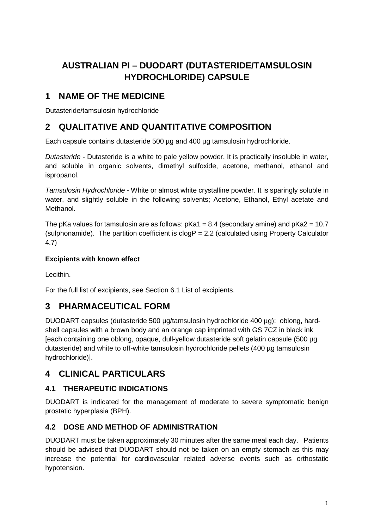# **AUSTRALIAN PI – DUODART (DUTASTERIDE/TAMSULOSIN HYDROCHLORIDE) CAPSULE**

# **1 NAME OF THE MEDICINE**

Dutasteride/tamsulosin hydrochloride

# **2 QUALITATIVE AND QUANTITATIVE COMPOSITION**

Each capsule contains dutasteride 500 µg and 400 µg tamsulosin hydrochloride.

*Dutasteride* - Dutasteride is a white to pale yellow powder. It is practically insoluble in water, and soluble in organic solvents, dimethyl sulfoxide, acetone, methanol, ethanol and ispropanol.

*Tamsulosin Hydrochloride -* White or almost white crystalline powder. It is sparingly soluble in water, and slightly soluble in the following solvents; Acetone, Ethanol, Ethyl acetate and Methanol.

The pKa values for tamsulosin are as follows:  $pKa1 = 8.4$  (secondary amine) and  $pKa2 = 10.7$ (sulphonamide). The partition coefficient is  $clogP = 2.2$  (calculated using Property Calculator 4.7)

## **Excipients with known effect**

Lecithin.

For the full list of excipients, see Section 6.1 List of excipients.

# **3 PHARMACEUTICAL FORM**

DUODART capsules (dutasteride 500 ug/tamsulosin hydrochloride 400 ug): oblong, hardshell capsules with a brown body and an orange cap imprinted with GS 7CZ in black ink [each containing one oblong, opaque, dull-yellow dutasteride soft gelatin capsule (500 µg dutasteride) and white to off-white tamsulosin hydrochloride pellets (400 ug tamsulosin hydrochloride)].

# **4 CLINICAL PARTICULARS**

# **4.1 THERAPEUTIC INDICATIONS**

DUODART is indicated for the management of moderate to severe symptomatic benign prostatic hyperplasia (BPH).

# **4.2 DOSE AND METHOD OF ADMINISTRATION**

DUODART must be taken approximately 30 minutes after the same meal each day. Patients should be advised that DUODART should not be taken on an empty stomach as this may increase the potential for cardiovascular related adverse events such as orthostatic hypotension.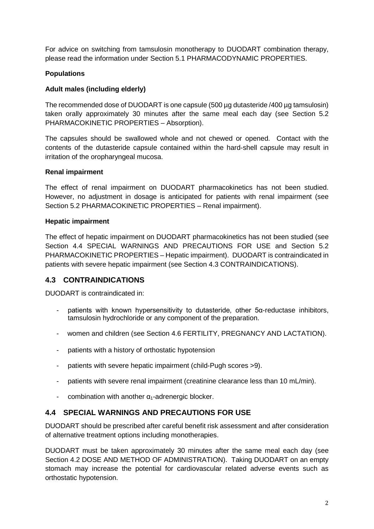For advice on switching from tamsulosin monotherapy to DUODART combination therapy, please read the information under Section 5.1 PHARMACODYNAMIC PROPERTIES.

## **Populations**

## **Adult males (including elderly)**

The recommended dose of DUODART is one capsule (500 µg dutasteride /400 µg tamsulosin) taken orally approximately 30 minutes after the same meal each day (see Section 5.2 PHARMACOKINETIC PROPERTIES – Absorption).

The capsules should be swallowed whole and not chewed or opened. Contact with the contents of the dutasteride capsule contained within the hard-shell capsule may result in irritation of the oropharyngeal mucosa.

### **Renal impairment**

The effect of renal impairment on DUODART pharmacokinetics has not been studied. However, no adjustment in dosage is anticipated for patients with renal impairment (see Section 5.2 PHARMACOKINETIC PROPERTIES – Renal impairment).

### **Hepatic impairment**

The effect of hepatic impairment on DUODART pharmacokinetics has not been studied (see Section 4.4 SPECIAL WARNINGS AND PRECAUTIONS FOR USE and Section 5.2 PHARMACOKINETIC PROPERTIES – Hepatic impairment). DUODART is contraindicated in patients with severe hepatic impairment (see Section 4.3 CONTRAINDICATIONS).

# **4.3 CONTRAINDICATIONS**

DUODART is contraindicated in:

- patients with known hypersensitivity to dutasteride, other 5α-reductase inhibitors, tamsulosin hydrochloride or any component of the preparation.
- women and children (see Section 4.6 FERTILITY, PREGNANCY AND LACTATION).
- patients with a history of orthostatic hypotension
- patients with severe hepatic impairment (child-Pugh scores >9).
- patients with severe renal impairment (creatinine clearance less than 10 mL/min).
- combination with another  $\alpha_1$ -adrenergic blocker.

# **4.4 SPECIAL WARNINGS AND PRECAUTIONS FOR USE**

DUODART should be prescribed after careful benefit risk assessment and after consideration of alternative treatment options including monotherapies.

DUODART must be taken approximately 30 minutes after the same meal each day (see Section 4.2 DOSE AND METHOD OF ADMINISTRATION). Taking DUODART on an empty stomach may increase the potential for cardiovascular related adverse events such as orthostatic hypotension.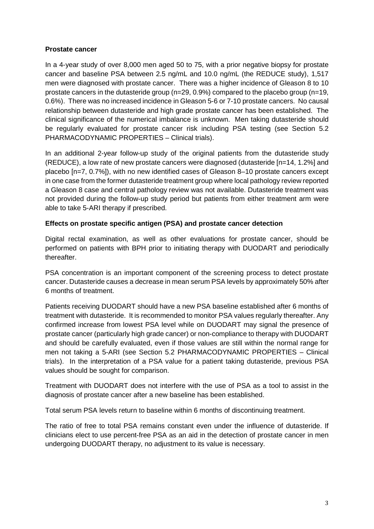### **Prostate cancer**

In a 4-year study of over 8,000 men aged 50 to 75, with a prior negative biopsy for prostate cancer and baseline PSA between 2.5 ng/mL and 10.0 ng/mL (the REDUCE study), 1,517 men were diagnosed with prostate cancer. There was a higher incidence of Gleason 8 to 10 prostate cancers in the dutasteride group (n=29, 0.9%) compared to the placebo group (n=19, 0.6%). There was no increased incidence in Gleason 5-6 or 7-10 prostate cancers. No causal relationship between dutasteride and high grade prostate cancer has been established. The clinical significance of the numerical imbalance is unknown. Men taking dutasteride should be regularly evaluated for prostate cancer risk including PSA testing (see Section 5.2 PHARMACODYNAMIC PROPERTIES – Clinical trials).

In an additional 2-year follow-up study of the original patients from the dutasteride study (REDUCE), a low rate of new prostate cancers were diagnosed (dutasteride [n=14, 1.2%] and placebo [n=7, 0.7%]), with no new identified cases of Gleason 8–10 prostate cancers except in one case from the former dutasteride treatment group where local pathology review reported a Gleason 8 case and central pathology review was not available. Dutasteride treatment was not provided during the follow-up study period but patients from either treatment arm were able to take 5-ARI therapy if prescribed.

### **Effects on prostate specific antigen (PSA) and prostate cancer detection**

Digital rectal examination, as well as other evaluations for prostate cancer, should be performed on patients with BPH prior to initiating therapy with DUODART and periodically thereafter.

PSA concentration is an important component of the screening process to detect prostate cancer. Dutasteride causes a decrease in mean serum PSA levels by approximately 50% after 6 months of treatment.

Patients receiving DUODART should have a new PSA baseline established after 6 months of treatment with dutasteride. It is recommended to monitor PSA values regularly thereafter. Any confirmed increase from lowest PSA level while on DUODART may signal the presence of prostate cancer (particularly high grade cancer) or non-compliance to therapy with DUODART and should be carefully evaluated, even if those values are still within the normal range for men not taking a 5-ARI (see Section 5.2 PHARMACODYNAMIC PROPERTIES – Clinical trials). In the interpretation of a PSA value for a patient taking dutasteride, previous PSA values should be sought for comparison.

Treatment with DUODART does not interfere with the use of PSA as a tool to assist in the diagnosis of prostate cancer after a new baseline has been established.

Total serum PSA levels return to baseline within 6 months of discontinuing treatment.

The ratio of free to total PSA remains constant even under the influence of dutasteride. If clinicians elect to use percent-free PSA as an aid in the detection of prostate cancer in men undergoing DUODART therapy, no adjustment to its value is necessary.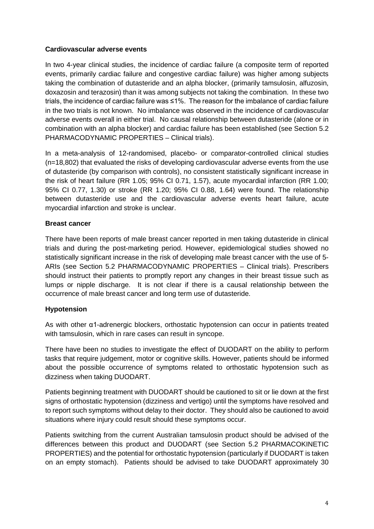### **Cardiovascular adverse events**

In two 4-year clinical studies, the incidence of cardiac failure (a composite term of reported events, primarily cardiac failure and congestive cardiac failure) was higher among subjects taking the combination of dutasteride and an alpha blocker, (primarily tamsulosin, alfuzosin, doxazosin and terazosin) than it was among subjects not taking the combination. In these two trials, the incidence of cardiac failure was ≤1%. The reason for the imbalance of cardiac failure in the two trials is not known. No imbalance was observed in the incidence of cardiovascular adverse events overall in either trial. No causal relationship between dutasteride (alone or in combination with an alpha blocker) and cardiac failure has been established (see Section 5.2 PHARMACODYNAMIC PROPERTIES – Clinical trials).

In a meta-analysis of 12-randomised, placebo- or comparator-controlled clinical studies (n=18,802) that evaluated the risks of developing cardiovascular adverse events from the use of dutasteride (by comparison with controls), no consistent statistically significant increase in the risk of heart failure (RR 1.05; 95% CI 0.71, 1.57), acute myocardial infarction (RR 1.00; 95% CI 0.77, 1.30) or stroke (RR 1.20; 95% CI 0.88, 1.64) were found. The relationship between dutasteride use and the cardiovascular adverse events heart failure, acute myocardial infarction and stroke is unclear.

### **Breast cancer**

There have been reports of male breast cancer reported in men taking dutasteride in clinical trials and during the post-marketing period. However, epidemiological studies showed no statistically significant increase in the risk of developing male breast cancer with the use of 5- ARIs (see Section 5.2 PHARMACODYNAMIC PROPERTIES – Clinical trials). Prescribers should instruct their patients to promptly report any changes in their breast tissue such as lumps or nipple discharge. It is not clear if there is a causal relationship between the occurrence of male breast cancer and long term use of dutasteride.

### **Hypotension**

As with other α1-adrenergic blockers, orthostatic hypotension can occur in patients treated with tamsulosin, which in rare cases can result in syncope.

There have been no studies to investigate the effect of DUODART on the ability to perform tasks that require judgement, motor or cognitive skills. However, patients should be informed about the possible occurrence of symptoms related to orthostatic hypotension such as dizziness when taking DUODART.

Patients beginning treatment with DUODART should be cautioned to sit or lie down at the first signs of orthostatic hypotension (dizziness and vertigo) until the symptoms have resolved and to report such symptoms without delay to their doctor. They should also be cautioned to avoid situations where injury could result should these symptoms occur.

Patients switching from the current Australian tamsulosin product should be advised of the differences between this product and DUODART (see Section 5.2 PHARMACOKINETIC PROPERTIES) and the potential for orthostatic hypotension (particularly if DUODART is taken on an empty stomach). Patients should be advised to take DUODART approximately 30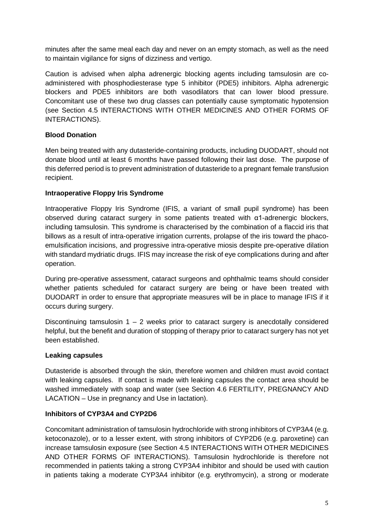minutes after the same meal each day and never on an empty stomach, as well as the need to maintain vigilance for signs of dizziness and vertigo.

Caution is advised when alpha adrenergic blocking agents including tamsulosin are coadministered with phosphodiesterase type 5 inhibitor (PDE5) inhibitors. Alpha adrenergic blockers and PDE5 inhibitors are both vasodilators that can lower blood pressure. Concomitant use of these two drug classes can potentially cause symptomatic hypotension (see Section 4.5 INTERACTIONS WITH OTHER MEDICINES AND OTHER FORMS OF INTERACTIONS).

### **Blood Donation**

Men being treated with any dutasteride-containing products, including DUODART, should not donate blood until at least 6 months have passed following their last dose. The purpose of this deferred period is to prevent administration of dutasteride to a pregnant female transfusion recipient.

### **Intraoperative Floppy Iris Syndrome**

Intraoperative Floppy Iris Syndrome (IFIS, a variant of small pupil syndrome) has been observed during cataract surgery in some patients treated with α1-adrenergic blockers, including tamsulosin. This syndrome is characterised by the combination of a flaccid iris that billows as a result of intra-operative irrigation currents, prolapse of the iris toward the phacoemulsification incisions, and progressive intra-operative miosis despite pre-operative dilation with standard mydriatic drugs. IFIS may increase the risk of eye complications during and after operation.

During pre-operative assessment, cataract surgeons and ophthalmic teams should consider whether patients scheduled for cataract surgery are being or have been treated with DUODART in order to ensure that appropriate measures will be in place to manage IFIS if it occurs during surgery.

Discontinuing tamsulosin  $1 - 2$  weeks prior to cataract surgery is anecdotally considered helpful, but the benefit and duration of stopping of therapy prior to cataract surgery has not yet been established.

### **Leaking capsules**

Dutasteride is absorbed through the skin, therefore women and children must avoid contact with leaking capsules. If contact is made with leaking capsules the contact area should be washed immediately with soap and water (see Section 4.6 FERTILITY, PREGNANCY AND LACATION – Use in pregnancy and Use in lactation).

### **Inhibitors of CYP3A4 and CYP2D6**

Concomitant administration of tamsulosin hydrochloride with strong inhibitors of CYP3A4 (e.g. ketoconazole), or to a lesser extent, with strong inhibitors of CYP2D6 (e.g. paroxetine) can increase tamsulosin exposure (see Section 4.5 INTERACTIONS WITH OTHER MEDICINES AND OTHER FORMS OF INTERACTIONS). Tamsulosin hydrochloride is therefore not recommended in patients taking a strong CYP3A4 inhibitor and should be used with caution in patients taking a moderate CYP3A4 inhibitor (e.g. erythromycin), a strong or moderate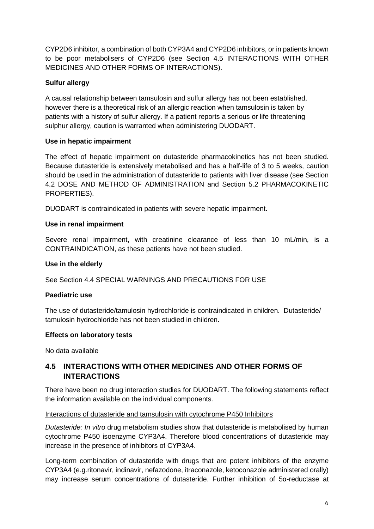CYP2D6 inhibitor, a combination of both CYP3A4 and CYP2D6 inhibitors, or in patients known to be poor metabolisers of CYP2D6 (see Section 4.5 INTERACTIONS WITH OTHER MEDICINES AND OTHER FORMS OF INTERACTIONS).

## **Sulfur allergy**

A causal relationship between tamsulosin and sulfur allergy has not been established, however there is a theoretical risk of an allergic reaction when tamsulosin is taken by patients with a history of sulfur allergy. If a patient reports a serious or life threatening sulphur allergy, caution is warranted when administering DUODART.

### **Use in hepatic impairment**

The effect of hepatic impairment on dutasteride pharmacokinetics has not been studied. Because dutasteride is extensively metabolised and has a half-life of 3 to 5 weeks, caution should be used in the administration of dutasteride to patients with liver disease (see Section 4.2 DOSE AND METHOD OF ADMINISTRATION and Section 5.2 PHARMACOKINETIC PROPERTIES).

DUODART is contraindicated in patients with severe hepatic impairment.

### **Use in renal impairment**

Severe renal impairment, with creatinine clearance of less than 10 mL/min, is a CONTRAINDICATION, as these patients have not been studied.

### **Use in the elderly**

See Section 4.4 SPECIAL WARNINGS AND PRECAUTIONS FOR USE

### **Paediatric use**

The use of dutasteride/tamulosin hydrochloride is contraindicated in children. Dutasteride/ tamulosin hydrochloride has not been studied in children.

### **Effects on laboratory tests**

No data available

# **4.5 INTERACTIONS WITH OTHER MEDICINES AND OTHER FORMS OF INTERACTIONS**

There have been no drug interaction studies for DUODART. The following statements reflect the information available on the individual components.

### Interactions of dutasteride and tamsulosin with cytochrome P450 Inhibitors

*Dutasteride: In vitro* drug metabolism studies show that dutasteride is metabolised by human cytochrome P450 isoenzyme CYP3A4. Therefore blood concentrations of dutasteride may increase in the presence of inhibitors of CYP3A4.

Long-term combination of dutasteride with drugs that are potent inhibitors of the enzyme CYP3A4 (e.g.ritonavir, indinavir, nefazodone, itraconazole, ketoconazole administered orally) may increase serum concentrations of dutasteride. Further inhibition of 5α-reductase at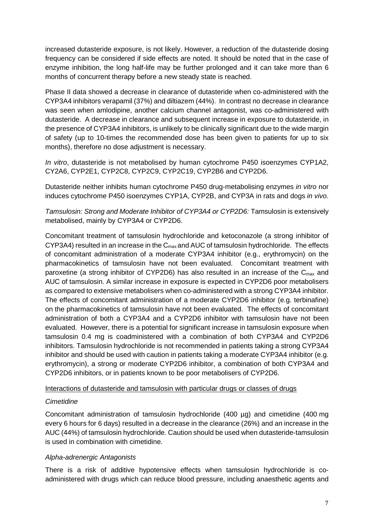increased dutasteride exposure, is not likely. However, a reduction of the dutasteride dosing frequency can be considered if side effects are noted. It should be noted that in the case of enzyme inhibition, the long half-life may be further prolonged and it can take more than 6 months of concurrent therapy before a new steady state is reached.

Phase II data showed a decrease in clearance of dutasteride when co-administered with the CYP3A4 inhibitors verapamil (37%) and diltiazem (44%). In contrast no decrease in clearance was seen when amlodipine, another calcium channel antagonist, was co-administered with dutasteride. A decrease in clearance and subsequent increase in exposure to dutasteride, in the presence of CYP3A4 inhibitors, is unlikely to be clinically significant due to the wide margin of safety (up to 10-times the recommended dose has been given to patients for up to six months), therefore no dose adjustment is necessary.

*In vitro*, dutasteride is not metabolised by human cytochrome P450 isoenzymes CYP1A2, CY2A6, CYP2E1, CYP2C8, CYP2C9, CYP2C19, CYP2B6 and CYP2D6.

Dutasteride neither inhibits human cytochrome P450 drug-metabolising enzymes *in vitro* nor induces cytochrome P450 isoenzymes CYP1A, CYP2B, and CYP3A in rats and dogs *in vivo*.

*Tamsulosin: Strong and Moderate Inhibitor of CYP3A4 or CYP2D6:* Tamsulosin is extensively metabolised, mainly by CYP3A4 or CYP2D6.

Concomitant treatment of tamsulosin hydrochloride and ketoconazole (a strong inhibitor of CYP3A4) resulted in an increase in the  $C_{\text{max}}$  and AUC of tamsulosin hydrochloride. The effects of concomitant administration of a moderate CYP3A4 inhibitor (e.g., erythromycin) on the pharmacokinetics of tamsulosin have not been evaluated. Concomitant treatment with paroxetine (a strong inhibitor of CYP2D6) has also resulted in an increase of the  $C_{\text{max}}$  and AUC of tamsulosin. A similar increase in exposure is expected in CYP2D6 poor metabolisers as compared to extensive metabolisers when co-administered with a strong CYP3A4 inhibitor. The effects of concomitant administration of a moderate CYP2D6 inhibitor (e.g. terbinafine) on the pharmacokinetics of tamsulosin have not been evaluated. The effects of concomitant administration of both a CYP3A4 and a CYP2D6 inhibitor with tamsulosin have not been evaluated. However, there is a potential for significant increase in tamsulosin exposure when tamsulosin 0.4 mg is coadministered with a combination of both CYP3A4 and CYP2D6 inhibitors. Tamsulosin hydrochloride is not recommended in patients taking a strong CYP3A4 inhibitor and should be used with caution in patients taking a moderate CYP3A4 inhibitor (e.g. erythromycin), a strong or moderate CYP2D6 inhibitor, a combination of both CYP3A4 and CYP2D6 inhibitors, or in patients known to be poor metabolisers of CYP2D6.

### Interactions of dutasteride and tamsulosin with particular drugs or classes of drugs

### *Cimetidine*

Concomitant administration of tamsulosin hydrochloride (400 µg) and cimetidine (400 mg every 6 hours for 6 days) resulted in a decrease in the clearance (26%) and an increase in the AUC (44%) of tamsulosin hydrochloride. Caution should be used when dutasteride-tamsulosin is used in combination with cimetidine.

### *Alpha-adrenergic Antagonists*

There is a risk of additive hypotensive effects when tamsulosin hydrochloride is coadministered with drugs which can reduce blood pressure, including anaesthetic agents and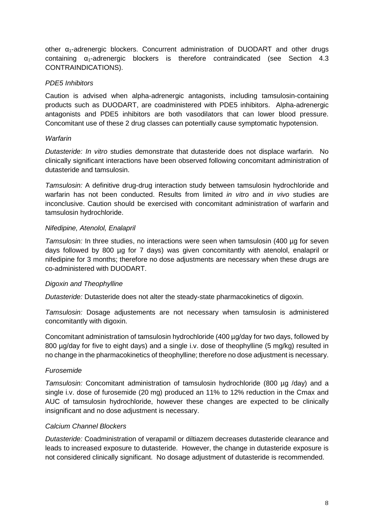other  $\alpha_1$ -adrenergic blockers. Concurrent administration of DUODART and other drugs containing  $\alpha_1$ -adrenergic blockers is therefore contraindicated (see Section 4.3 CONTRAINDICATIONS).

### *PDE5 Inhibitors*

Caution is advised when alpha-adrenergic antagonists, including tamsulosin-containing products such as DUODART, are coadministered with PDE5 inhibitors. Alpha-adrenergic antagonists and PDE5 inhibitors are both vasodilators that can lower blood pressure. Concomitant use of these 2 drug classes can potentially cause symptomatic hypotension.

### *Warfarin*

*Dutasteride: In vitro* studies demonstrate that dutasteride does not displace warfarin. No clinically significant interactions have been observed following concomitant administration of dutasteride and tamsulosin.

*Tamsulosin:* A definitive drug-drug interaction study between tamsulosin hydrochloride and warfarin has not been conducted. Results from limited *in vitro* and *in vivo* studies are inconclusive. Caution should be exercised with concomitant administration of warfarin and tamsulosin hydrochloride.

### *Nifedipine, Atenolol, Enalapril*

*Tamsulosin:* In three studies, no interactions were seen when tamsulosin (400 µg for seven days followed by 800 µg for 7 days) was given concomitantly with atenolol, enalapril or nifedipine for 3 months; therefore no dose adjustments are necessary when these drugs are co-administered with DUODART.

### *Digoxin and Theophylline*

*Dutasteride:* Dutasteride does not alter the steady-state pharmacokinetics of digoxin.

*Tamsulosin:* Dosage adjustements are not necessary when tamsulosin is administered concomitantly with digoxin.

Concomitant administration of tamsulosin hydrochloride (400 µg/day for two days, followed by 800 µg/day for five to eight days) and a single i.v. dose of theophylline (5 mg/kg) resulted in no change in the pharmacokinetics of theophylline; therefore no dose adjustment is necessary.

### *Furosemide*

*Tamsulosin:* Concomitant administration of tamsulosin hydrochloride (800 µg /day) and a single i.v. dose of furosemide (20 mg) produced an 11% to 12% reduction in the Cmax and AUC of tamsulosin hydrochloride, however these changes are expected to be clinically insignificant and no dose adjustment is necessary.

### *Calcium Channel Blockers*

*Dutasteride:* Coadministration of verapamil or diltiazem decreases dutasteride clearance and leads to increased exposure to dutasteride. However, the change in dutasteride exposure is not considered clinically significant. No dosage adjustment of dutasteride is recommended.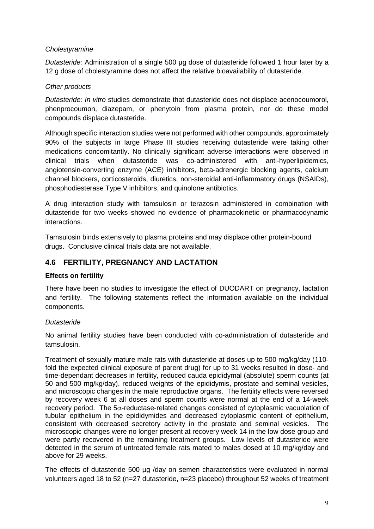### *Cholestyramine*

*Dutasteride:* Administration of a single 500 μg dose of dutasteride followed 1 hour later by a 12 g dose of cholestyramine does not affect the relative bioavailability of dutasteride.

### *Other products*

*Dutasteride: In vitro* studies demonstrate that dutasteride does not displace acenocoumorol, phenprocoumon, diazepam, or phenytoin from plasma protein, nor do these model compounds displace dutasteride.

Although specific interaction studies were not performed with other compounds, approximately 90% of the subjects in large Phase III studies receiving dutasteride were taking other medications concomitantly. No clinically significant adverse interactions were observed in clinical trials when dutasteride was co-administered with anti-hyperlipidemics, angiotensin-converting enzyme (ACE) inhibitors, beta-adrenergic blocking agents, calcium channel blockers, corticosteroids, diuretics, non-steroidal anti-inflammatory drugs (NSAIDs), phosphodiesterase Type V inhibitors, and quinolone antibiotics.

A drug interaction study with tamsulosin or terazosin administered in combination with dutasteride for two weeks showed no evidence of pharmacokinetic or pharmacodynamic interactions.

Tamsulosin binds extensively to plasma proteins and may displace other protein-bound drugs. Conclusive clinical trials data are not available.

## **4.6 FERTILITY, PREGNANCY AND LACTATION**

### **Effects on fertility**

There have been no studies to investigate the effect of DUODART on pregnancy, lactation and fertility. The following statements reflect the information available on the individual components.

### *Dutasteride*

No animal fertility studies have been conducted with co-administration of dutasteride and tamsulosin.

Treatment of sexually mature male rats with dutasteride at doses up to 500 mg/kg/day (110 fold the expected clinical exposure of parent drug) for up to 31 weeks resulted in dose- and time-dependant decreases in fertility, reduced cauda epididymal (absolute) sperm counts (at 50 and 500 mg/kg/day), reduced weights of the epididymis, prostate and seminal vesicles, and microscopic changes in the male reproductive organs. The fertility effects were reversed by recovery week 6 at all doses and sperm counts were normal at the end of a 14-week recovery period. The 5α-reductase-related changes consisted of cytoplasmic vacuolation of tubular epithelium in the epididymides and decreased cytoplasmic content of epithelium, consistent with decreased secretory activity in the prostate and seminal vesicles. The microscopic changes were no longer present at recovery week 14 in the low dose group and were partly recovered in the remaining treatment groups. Low levels of dutasteride were detected in the serum of untreated female rats mated to males dosed at 10 mg/kg/day and above for 29 weeks.

The effects of dutasteride 500 µg /day on semen characteristics were evaluated in normal volunteers aged 18 to 52 (n=27 dutasteride, n=23 placebo) throughout 52 weeks of treatment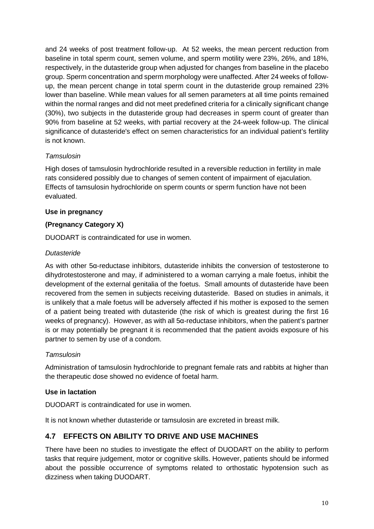and 24 weeks of post treatment follow-up. At 52 weeks, the mean percent reduction from baseline in total sperm count, semen volume, and sperm motility were 23%, 26%, and 18%, respectively, in the dutasteride group when adjusted for changes from baseline in the placebo group. Sperm concentration and sperm morphology were unaffected. After 24 weeks of followup, the mean percent change in total sperm count in the dutasteride group remained 23% lower than baseline. While mean values for all semen parameters at all time points remained within the normal ranges and did not meet predefined criteria for a clinically significant change (30%), two subjects in the dutasteride group had decreases in sperm count of greater than 90% from baseline at 52 weeks, with partial recovery at the 24-week follow-up. The clinical significance of dutasteride's effect on semen characteristics for an individual patient's fertility is not known.

## *Tamsulosin*

High doses of tamsulosin hydrochloride resulted in a reversible reduction in fertility in male rats considered possibly due to changes of semen content of impairment of ejaculation. Effects of tamsulosin hydrochloride on sperm counts or sperm function have not been evaluated.

### **Use in pregnancy**

### **(Pregnancy Category X)**

DUODART is contraindicated for use in women.

### *Dutasteride*

As with other 5α-reductase inhibitors, dutasteride inhibits the conversion of testosterone to dihydrotestosterone and may, if administered to a woman carrying a male foetus, inhibit the development of the external genitalia of the foetus. Small amounts of dutasteride have been recovered from the semen in subjects receiving dutasteride. Based on studies in animals, it is unlikely that a male foetus will be adversely affected if his mother is exposed to the semen of a patient being treated with dutasteride (the risk of which is greatest during the first 16 weeks of pregnancy). However, as with all 5α-reductase inhibitors, when the patient's partner is or may potentially be pregnant it is recommended that the patient avoids exposure of his partner to semen by use of a condom.

### *Tamsulosin*

Administration of tamsulosin hydrochloride to pregnant female rats and rabbits at higher than the therapeutic dose showed no evidence of foetal harm.

### **Use in lactation**

DUODART is contraindicated for use in women.

It is not known whether dutasteride or tamsulosin are excreted in breast milk.

# **4.7 EFFECTS ON ABILITY TO DRIVE AND USE MACHINES**

There have been no studies to investigate the effect of DUODART on the ability to perform tasks that require judgement, motor or cognitive skills. However, patients should be informed about the possible occurrence of symptoms related to orthostatic hypotension such as dizziness when taking DUODART.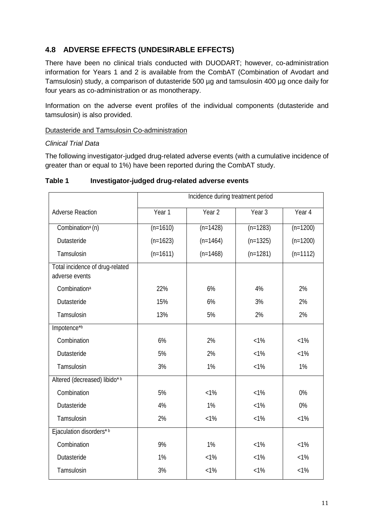# **4.8 ADVERSE EFFECTS (UNDESIRABLE EFFECTS)**

There have been no clinical trials conducted with DUODART; however, co-administration information for Years 1 and 2 is available from the CombAT (Combination of Avodart and Tamsulosin) study, a comparison of dutasteride 500 µg and tamsulosin 400 µg once daily for four years as co-administration or as monotherapy.

Information on the adverse event profiles of the individual components (dutasteride and tamsulosin) is also provided.

### Dutasteride and Tamsulosin Co-administration

### *Clinical Trial Data*

The following investigator-judged drug-related adverse events (with a cumulative incidence of greater than or equal to 1%) have been reported during the CombAT study.

|                                                   | Incidence during treatment period |            |            |            |  |
|---------------------------------------------------|-----------------------------------|------------|------------|------------|--|
| <b>Adverse Reaction</b>                           | Year 1                            | Year 2     | Year 3     | Year 4     |  |
| Combination <sup>a</sup> (n)                      | $(n=1610)$                        | $(n=1428)$ | $(n=1283)$ | $(n=1200)$ |  |
| Dutasteride                                       | $(n=1623)$                        | $(n=1464)$ | $(n=1325)$ | $(n=1200)$ |  |
| Tamsulosin                                        | $(n=1611)$                        | $(n=1468)$ | $(n=1281)$ | $(n=1112)$ |  |
| Total incidence of drug-related<br>adverse events |                                   |            |            |            |  |
| Combination <sup>a</sup>                          | 22%                               | 6%         | 4%         | 2%         |  |
| Dutasteride                                       | 15%                               | 6%         | 3%         | 2%         |  |
| Tamsulosin                                        | 13%                               | 5%         | 2%         | 2%         |  |
| Impotence*b                                       |                                   |            |            |            |  |
| Combination                                       | 6%                                | 2%         | $<1\%$     | $< 1\%$    |  |
| Dutasteride                                       | 5%                                | 2%         | $< 1\%$    | $< 1\%$    |  |
| Tamsulosin                                        | 3%                                | 1%         | $<1\%$     | 1%         |  |
| Altered (decreased) libido*b                      |                                   |            |            |            |  |
| Combination                                       | 5%                                | $<1\%$     | $<1\%$     | 0%         |  |
| Dutasteride                                       | 4%                                | 1%         | $< 1\%$    | 0%         |  |
| Tamsulosin                                        | 2%                                | $< 1\%$    | $<1\%$     | $< 1\%$    |  |
| Ejaculation disorders*b                           |                                   |            |            |            |  |
| Combination                                       | 9%                                | 1%         | $< 1\%$    | $< 1\%$    |  |
| Dutasteride                                       | 1%                                | $< 1\%$    | $< 1\%$    | $< 1\%$    |  |
| Tamsulosin                                        | 3%                                | $< 1\%$    | $< 1\%$    | $< 1\%$    |  |

### **Table 1 Investigator-judged drug-related adverse events**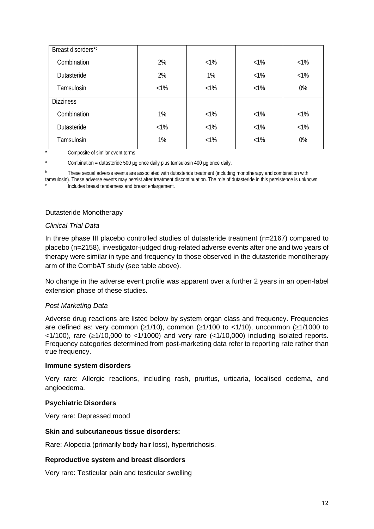| Breast disorders*c |        |        |        |         |
|--------------------|--------|--------|--------|---------|
| Combination        | 2%     | $<1\%$ | $<1\%$ | $< 1\%$ |
| Dutasteride        | 2%     | 1%     | $<1\%$ | $<1\%$  |
| Tamsulosin         | $<1\%$ | $<1\%$ | $<1\%$ | 0%      |
| <b>Dizziness</b>   |        |        |        |         |
| Combination        | 1%     | $<1\%$ | $<1\%$ | $<1\%$  |
| Dutasteride        | $<1\%$ | $<1\%$ | $<1\%$ | $< 1\%$ |
| Tamsulosin         | 1%     | $<1\%$ | $<1\%$ | 0%      |

Composite of similar event terms

 $a$  Combination = dutasteride 500 μg once daily plus tamsulosin 400 μg once daily.

<sup>b</sup> These sexual adverse events are associated with dutasteride treatment (including monotherapy and combination with tamsulosin). These adverse events may persist after treatment discontinuation. The role of dutasteride in this persistence is unknown. <sup>c</sup> Includes breast tenderness and breast enlargement.

### Dutasteride Monotherapy

### *Clinical Trial Data*

In three phase III placebo controlled studies of dutasteride treatment (n=2167) compared to placebo (n=2158), investigator-judged drug-related adverse events after one and two years of therapy were similar in type and frequency to those observed in the dutasteride monotherapy arm of the CombAT study (see table above).

No change in the adverse event profile was apparent over a further 2 years in an open-label extension phase of these studies.

### *Post Marketing Data*

Adverse drug reactions are listed below by system organ class and frequency. Frequencies are defined as: very common ( $\geq 1/10$ ), common ( $\geq 1/100$  to <1/10), uncommon ( $\geq 1/1000$  to  $\langle$  <1/100), rare ( $\ge$ 1/10,000 to <1/1000) and very rare (<1/10,000) including isolated reports. Frequency categories determined from post-marketing data refer to reporting rate rather than true frequency.

#### **Immune system disorders**

Very rare: Allergic reactions, including rash, pruritus, urticaria, localised oedema, and angioedema.

### **Psychiatric Disorders**

Very rare: Depressed mood

### **Skin and subcutaneous tissue disorders:**

Rare: Alopecia (primarily body hair loss), hypertrichosis.

### **Reproductive system and breast disorders**

Very rare: Testicular pain and testicular swelling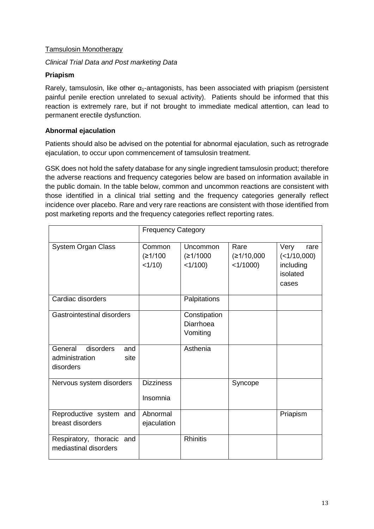### Tamsulosin Monotherapy

### *Clinical Trial Data and Post marketing Data*

### **Priapism**

Rarely, tamsulosin, like other  $\alpha_1$ -antagonists, has been associated with priapism (persistent painful penile erection unrelated to sexual activity). Patients should be informed that this reaction is extremely rare, but if not brought to immediate medical attention, can lead to permanent erectile dysfunction.

### **Abnormal ejaculation**

Patients should also be advised on the potential for abnormal ejaculation, such as retrograde ejaculation, to occur upon commencement of tamsulosin treatment.

GSK does not hold the safety database for any single ingredient tamsulosin product; therefore the adverse reactions and frequency categories below are based on information available in the public domain. In the table below, common and uncommon reactions are consistent with those identified in a clinical trial setting and the frequency categories generally reflect incidence over placebo. Rare and very rare reactions are consistent with those identified from post marketing reports and the frequency categories reflect reporting rates.

|                                                                    | <b>Frequency Category</b>      |                                       |                                   |                                                               |
|--------------------------------------------------------------------|--------------------------------|---------------------------------------|-----------------------------------|---------------------------------------------------------------|
| <b>System Organ Class</b>                                          | Common<br>(≥1/100<br>$<1/10$ ) | Uncommon<br>(≥1/1000<br>$<1/100$ )    | Rare<br>(≥1/10,000<br>$<1/1000$ ) | Very<br>rare<br>(<1/10,000)<br>including<br>isolated<br>cases |
| Cardiac disorders                                                  |                                | Palpitations                          |                                   |                                                               |
| Gastrointestinal disorders                                         |                                | Constipation<br>Diarrhoea<br>Vomiting |                                   |                                                               |
| General<br>disorders<br>and<br>administration<br>site<br>disorders |                                | Asthenia                              |                                   |                                                               |
| Nervous system disorders                                           | <b>Dizziness</b><br>Insomnia   |                                       | Syncope                           |                                                               |
| Reproductive system and<br>breast disorders                        | Abnormal<br>ejaculation        |                                       |                                   | Priapism                                                      |
| Respiratory, thoracic and<br>mediastinal disorders                 |                                | <b>Rhinitis</b>                       |                                   |                                                               |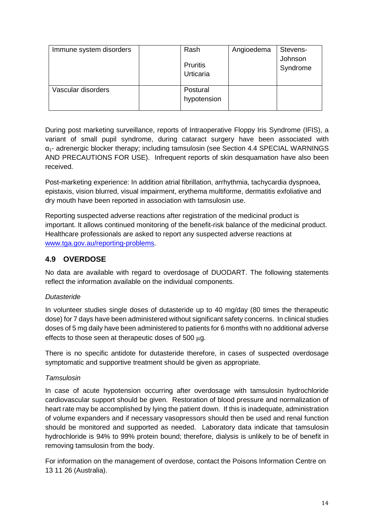| Immune system disorders | Rash<br><b>Pruritis</b><br>Urticaria | Angioedema | Stevens-<br>Johnson<br>Syndrome |
|-------------------------|--------------------------------------|------------|---------------------------------|
| Vascular disorders      | Postural<br>hypotension              |            |                                 |

During post marketing surveillance, reports of Intraoperative Floppy Iris Syndrome (IFIS), a variant of small pupil syndrome, during cataract surgery have been associated with  $\alpha_{1}$ - adrenergic blocker therapy; including tamsulosin (see Section 4.4 SPECIAL WARNINGS AND PRECAUTIONS FOR USE). Infrequent reports of skin desquamation have also been received.

Post-marketing experience: In addition atrial fibrillation, arrhythmia, tachycardia dyspnoea, epistaxis, vision blurred, visual impairment, erythema multiforme, dermatitis exfoliative and dry mouth have been reported in association with tamsulosin use.

Reporting suspected adverse reactions after registration of the medicinal product is important. It allows continued monitoring of the benefit-risk balance of the medicinal product. Healthcare professionals are asked to report any suspected adverse reactions at [www.tga.gov.au/reporting-problems.](http://www.tga.gov.au/reporting-problems)

# **4.9 OVERDOSE**

No data are available with regard to overdosage of DUODART. The following statements reflect the information available on the individual components.

### *Dutasteride*

In volunteer studies single doses of dutasteride up to 40 mg/day (80 times the therapeutic dose) for 7 days have been administered without significant safety concerns. In clinical studies doses of 5 mg daily have been administered to patients for 6 months with no additional adverse effects to those seen at therapeutic doses of 500 µg.

There is no specific antidote for dutasteride therefore, in cases of suspected overdosage symptomatic and supportive treatment should be given as appropriate.

### *Tamsulosin*

In case of acute hypotension occurring after overdosage with tamsulosin hydrochloride cardiovascular support should be given. Restoration of blood pressure and normalization of heart rate may be accomplished by lying the patient down. If this is inadequate, administration of volume expanders and if necessary vasopressors should then be used and renal function should be monitored and supported as needed. Laboratory data indicate that tamsulosin hydrochloride is 94% to 99% protein bound; therefore, dialysis is unlikely to be of benefit in removing tamsulosin from the body.

For information on the management of overdose, contact the Poisons Information Centre on 13 11 26 (Australia).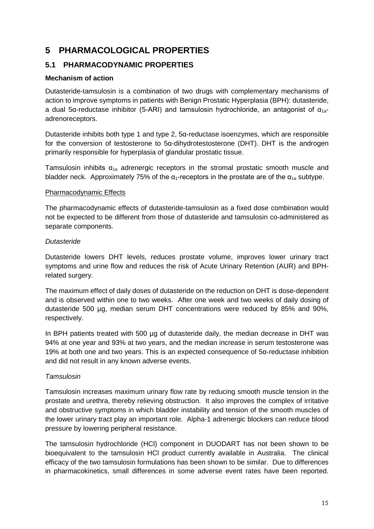# **5 PHARMACOLOGICAL PROPERTIES**

# **5.1 PHARMACODYNAMIC PROPERTIES**

### **Mechanism of action**

Dutasteride-tamsulosin is a combination of two drugs with complementary mechanisms of action to improve symptoms in patients with Benign Prostatic Hyperplasia (BPH): dutasteride, a dual 5α-reductase inhibitor (5-ARI) and tamsulosin hydrochloride, an antagonist of  $\alpha_{1a}$ adrenoreceptors.

Dutasteride inhibits both type 1 and type 2,  $5\alpha$ -reductase isoenzymes, which are responsible for the conversion of testosterone to 5α-dihydrotestosterone (DHT). DHT is the androgen primarily responsible for hyperplasia of glandular prostatic tissue.

Tamsulosin inhibits  $\alpha_{1a}$  adrenergic receptors in the stromal prostatic smooth muscle and bladder neck. Approximately 75% of the  $\alpha_1$ -receptors in the prostate are of the  $\alpha_{1a}$  subtype.

### Pharmacodynamic Effects

The pharmacodynamic effects of dutasteride-tamsulosin as a fixed dose combination would not be expected to be different from those of dutasteride and tamsulosin co-administered as separate components.

### *Dutasteride*

Dutasteride lowers DHT levels, reduces prostate volume, improves lower urinary tract symptoms and urine flow and reduces the risk of Acute Urinary Retention (AUR) and BPHrelated surgery.

The maximum effect of daily doses of dutasteride on the reduction on DHT is dose-dependent and is observed within one to two weeks. After one week and two weeks of daily dosing of dutasteride 500 µg, median serum DHT concentrations were reduced by 85% and 90%, respectively.

In BPH patients treated with 500 µg of dutasteride daily, the median decrease in DHT was 94% at one year and 93% at two years, and the median increase in serum testosterone was 19% at both one and two years. This is an expected consequence of 5α-reductase inhibition and did not result in any known adverse events.

### *Tamsulosin*

Tamsulosin increases maximum urinary flow rate by reducing smooth muscle tension in the prostate and urethra, thereby relieving obstruction. It also improves the complex of irritative and obstructive symptoms in which bladder instability and tension of the smooth muscles of the lower urinary tract play an important role. Alpha-1 adrenergic blockers can reduce blood pressure by lowering peripheral resistance.

The tamsulosin hydrochloride (HCl) component in DUODART has not been shown to be bioequivalent to the tamsulosin HCl product currently available in Australia. The clinical efficacy of the two tamsulosin formulations has been shown to be similar. Due to differences in pharmacokinetics, small differences in some adverse event rates have been reported.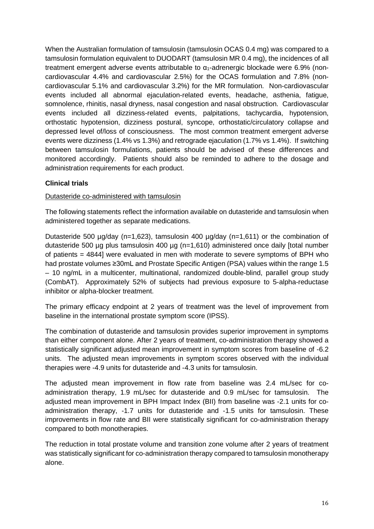When the Australian formulation of tamsulosin (tamsulosin OCAS 0.4 mg) was compared to a tamsulosin formulation equivalent to DUODART (tamsulosin MR 0.4 mg), the incidences of all treatment emergent adverse events attributable to  $\alpha_1$ -adrenergic blockade were 6.9% (noncardiovascular 4.4% and cardiovascular 2.5%) for the OCAS formulation and 7.8% (noncardiovascular 5.1% and cardiovascular 3.2%) for the MR formulation. Non-cardiovascular events included all abnormal ejaculation-related events, headache, asthenia, fatigue, somnolence, rhinitis, nasal dryness, nasal congestion and nasal obstruction. Cardiovascular events included all dizziness-related events, palpitations, tachycardia, hypotension, orthostatic hypotension, dizziness postural, syncope, orthostatic/circulatory collapse and depressed level of/loss of consciousness. The most common treatment emergent adverse events were dizziness (1.4% vs 1.3%) and retrograde ejaculation (1.7% vs 1.4%). If switching between tamsulosin formulations, patients should be advised of these differences and monitored accordingly. Patients should also be reminded to adhere to the dosage and administration requirements for each product.

## **Clinical trials**

### Dutasteride co-administered with tamsulosin

The following statements reflect the information available on dutasteride and tamsulosin when administered together as separate medications.

Dutasteride 500 µg/day (n=1,623), tamsulosin 400 µg/day (n=1,611) or the combination of dutasteride 500 µg plus tamsulosin 400 µg (n=1,610) administered once daily [total number of patients = 4844] were evaluated in men with moderate to severe symptoms of BPH who had prostate volumes ≥30mL and Prostate Specific Antigen (PSA) values within the range 1.5 – 10 ng/mL in a multicenter, multinational, randomized double-blind, parallel group study (CombAT). Approximately 52% of subjects had previous exposure to 5-alpha-reductase inhibitor or alpha-blocker treatment.

The primary efficacy endpoint at 2 years of treatment was the level of improvement from baseline in the international prostate symptom score (IPSS).

The combination of dutasteride and tamsulosin provides superior improvement in symptoms than either component alone. After 2 years of treatment, co-administration therapy showed a statistically significant adjusted mean improvement in symptom scores from baseline of -6.2 units. The adjusted mean improvements in symptom scores observed with the individual therapies were -4.9 units for dutasteride and -4.3 units for tamsulosin.

The adjusted mean improvement in flow rate from baseline was 2.4 mL/sec for coadministration therapy, 1.9 mL/sec for dutasteride and 0.9 mL/sec for tamsulosin. The adjusted mean improvement in BPH Impact Index (BII) from baseline was -2.1 units for coadministration therapy, -1.7 units for dutasteride and -1.5 units for tamsulosin. These improvements in flow rate and BII were statistically significant for co-administration therapy compared to both monotherapies.

The reduction in total prostate volume and transition zone volume after 2 years of treatment was statistically significant for co-administration therapy compared to tamsulosin monotherapy alone.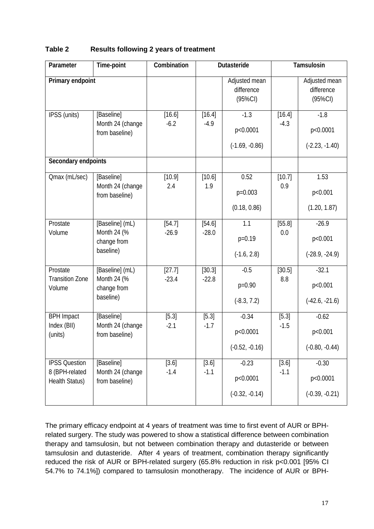| Parameter                                                | Time-point                                                 | Combination       |                   | Dutasteride                               | Tamsulosin        |                                           |
|----------------------------------------------------------|------------------------------------------------------------|-------------------|-------------------|-------------------------------------------|-------------------|-------------------------------------------|
| Primary endpoint                                         |                                                            |                   |                   | Adjusted mean<br>difference<br>$(95\%CI)$ |                   | Adjusted mean<br>difference<br>$(95\%CI)$ |
| IPSS (units)                                             | [Baseline]<br>Month 24 (change<br>from baseline)           | [16.6]<br>$-6.2$  | [16.4]<br>$-4.9$  | $-1.3$<br>p<0.0001<br>$(-1.69, -0.86)$    | [16.4]<br>$-4.3$  | $-1.8$<br>p<0.0001<br>$(-2.23, -1.40)$    |
| Secondary endpoints                                      |                                                            |                   |                   |                                           |                   |                                           |
| Omax (mL/sec)                                            | [Baseline]<br>Month 24 (change<br>from baseline)           | [10.9]<br>2.4     | [10.6]<br>1.9     | 0.52<br>$p=0.003$<br>(0.18, 0.86)         | [10.7]<br>0.9     | 1.53<br>p<0.001<br>(1.20, 1.87)           |
| Prostate<br>Volume                                       | [Baseline] (mL)<br>Month 24 (%<br>change from<br>baseline) | [54.7]<br>$-26.9$ | [54.6]<br>$-28.0$ | 1.1<br>$p=0.19$<br>$(-1.6, 2.8)$          | [55.8]<br>0.0     | $-26.9$<br>p<0.001<br>$(-28.9, -24.9)$    |
| Prostate<br><b>Transition Zone</b><br>Volume             | [Baseline] (mL)<br>Month 24 (%<br>change from<br>baseline) | [27.7]<br>$-23.4$ | [30.3]<br>$-22.8$ | $-0.5$<br>$p=0.90$<br>$(-8.3, 7.2)$       | [30.5]<br>8.8     | $-32.1$<br>p<0.001<br>$(-42.6, -21.6)$    |
| <b>BPH Impact</b><br>Index (BII)<br>(units)              | [Baseline]<br>Month 24 (change<br>from baseline)           | [5.3]<br>$-2.1$   | [5.3]<br>$-1.7$   | $-0.34$<br>p<0.0001<br>$(-0.52, -0.16)$   | [5.3]<br>$-1.5$   | $-0.62$<br>p<0.001<br>$(-0.80, -0.44)$    |
| <b>IPSS Question</b><br>8 (BPH-related<br>Health Status) | [Baseline]<br>Month 24 (change<br>from baseline)           | $[3.6]$<br>$-1.4$ | [3.6]<br>$-1.1$   | $-0.23$<br>p<0.0001<br>$(-0.32, -0.14)$   | $[3.6]$<br>$-1.1$ | $-0.30$<br>p<0.0001<br>$(-0.39, -0.21)$   |

# **Table 2 Results following 2 years of treatment**

The primary efficacy endpoint at 4 years of treatment was time to first event of AUR or BPHrelated surgery. The study was powered to show a statistical difference between combination therapy and tamsulosin, but not between combination therapy and dutasteride or between tamsulosin and dutasteride. After 4 years of treatment, combination therapy significantly reduced the risk of AUR or BPH-related surgery (65.8% reduction in risk p<0.001 [95% CI 54.7% to 74.1%]) compared to tamsulosin monotherapy. The incidence of AUR or BPH-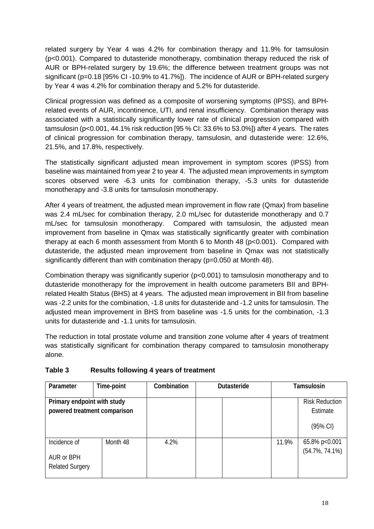related surgery by Year 4 was 4.2% for combination therapy and 11.9% for tamsulosin (p<0.001). Compared to dutasteride monotherapy, combination therapy reduced the risk of AUR or BPH-related surgery by 19.6%; the difference between treatment groups was not significant (p=0.18 [95% CI -10.9% to 41.7%]). The incidence of AUR or BPH-related surgery by Year 4 was 4.2% for combination therapy and 5.2% for dutasteride.

Clinical progression was defined as a composite of worsening symptoms (IPSS), and BPHrelated events of AUR, incontinence, UTI, and renal insufficiency. Combination therapy was associated with a statistically significantly lower rate of clinical progression compared with tamsulosin (p<0.001, 44.1% risk reduction [95 % CI: 33.6% to 53.0%]) after 4 years. The rates of clinical progression for combination therapy, tamsulosin, and dutasteride were: 12.6%, 21.5%, and 17.8%, respectively.

The statistically significant adjusted mean improvement in symptom scores (IPSS) from baseline was maintained from year 2 to year 4. The adjusted mean improvements in symptom scores observed were -6.3 units for combination therapy, -5.3 units for dutasteride monotherapy and -3.8 units for tamsulosin monotherapy.

After 4 years of treatment, the adjusted mean improvement in flow rate (Qmax) from baseline was 2.4 mL/sec for combination therapy, 2.0 mL/sec for dutasteride monotherapy and 0.7 mL/sec for tamsulosin monotherapy. Compared with tamsulosin, the adjusted mean improvement from baseline in Qmax was statistically significantly greater with combination therapy at each 6 month assessment from Month 6 to Month 48 (p<0.001). Compared with dutasteride, the adjusted mean improvement from baseline in Qmax was not statistically significantly different than with combination therapy (p=0.050 at Month 48).

Combination therapy was significantly superior (p<0.001) to tamsulosin monotherapy and to dutasteride monotherapy for the improvement in health outcome parameters BII and BPHrelated Health Status (BHS) at 4 years. The adjusted mean improvement in BII from baseline was -2.2 units for the combination, -1.8 units for dutasteride and -1.2 units for tamsulosin. The adjusted mean improvement in BHS from baseline was -1.5 units for the combination, -1.3 units for dutasteride and -1.1 units for tamsulosin.

The reduction in total prostate volume and transition zone volume after 4 years of treatment was statistically significant for combination therapy compared to tamsulosin monotherapy alone.

| Parameter                                                   | Time-point | Combination | <b>Dutasteride</b> |       | Tamsulosin                          |
|-------------------------------------------------------------|------------|-------------|--------------------|-------|-------------------------------------|
| Primary endpoint with study<br>powered treatment comparison |            |             |                    |       | <b>Risk Reduction</b><br>Estimate   |
|                                                             |            |             |                    |       | $(95% \text{ Cl})$                  |
| Incidence of<br>AUR or BPH<br><b>Related Surgery</b>        | Month 48   | 4.2%        |                    | 11.9% | 65.8% p<0.001<br>$(54.7\%, 74.1\%)$ |

# **Table 3 Results following 4 years of treatment**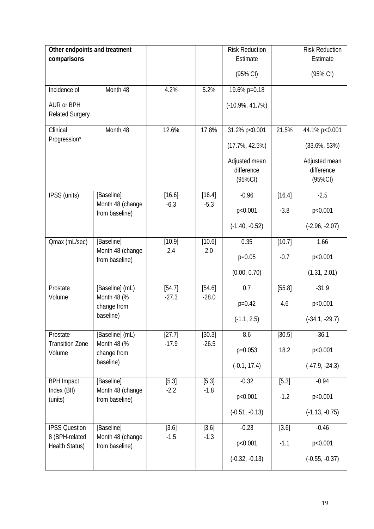| Other endpoints and treatment    |                                    |         |         | <b>Risk Reduction</b> |        | <b>Risk Reduction</b> |
|----------------------------------|------------------------------------|---------|---------|-----------------------|--------|-----------------------|
| comparisons                      |                                    |         |         | Estimate              |        | Estimate              |
|                                  |                                    |         |         | (95% CI)              |        | (95% CI)              |
| Incidence of                     | Month 48                           | 4.2%    | 5.2%    | 19.6% p=0.18          |        |                       |
| AUR or BPH                       |                                    |         |         | $(-10.9\%, 41.7\%)$   |        |                       |
| <b>Related Surgery</b>           |                                    |         |         |                       |        |                       |
| Clinical                         | Month 48                           | 12.6%   | 17.8%   | 31.2% p<0.001         | 21.5%  | 44.1% p<0.001         |
| Progression*                     |                                    |         |         | $(17.7\%, 42.5\%)$    |        | $(33.6\%, 53\%)$      |
|                                  |                                    |         |         | Adjusted mean         |        | Adjusted mean         |
|                                  |                                    |         |         | difference            |        | difference            |
|                                  |                                    |         |         | $(95\%CI)$            |        | $(95\%CI)$            |
| IPSS (units)                     | [Baseline]                         | [16.6]  | [16.4]  | $-0.96$               | [16.4] | $-2.5$                |
|                                  | Month 48 (change<br>from baseline) | $-6.3$  | $-5.3$  | p<0.001               | $-3.8$ | p<0.001               |
|                                  |                                    |         |         | $(-1.40, -0.52)$      |        | $(-2.96, -2.07)$      |
| Qmax (mL/sec)                    | [Baseline]                         | [10.9]  | [10.6]  | 0.35                  | [10.7] | 1.66                  |
|                                  | Month 48 (change<br>from baseline) | 2.4     | 2.0     | $p=0.05$              | $-0.7$ | p<0.001               |
|                                  |                                    |         |         | (0.00, 0.70)          |        | (1.31, 2.01)          |
| Prostate                         | [Baseline] (mL)                    | [54.7]  | [54.6]  | 0.7                   | [55.8] | $-31.9$               |
| Volume                           | Month 48 (%<br>change from         | $-27.3$ | $-28.0$ | $p=0.42$              | 4.6    | p<0.001               |
|                                  | baseline)                          |         |         | $(-1.1, 2.5)$         |        | $(-34.1, -29.7)$      |
| Prostate                         | [Baseline] (mL)                    | [27.7]  | [30.3]  | 8.6                   | [30.5] | $-36.1$               |
| <b>Transition Zone</b><br>Volume | Month 48 (%<br>change from         | $-17.9$ | $-26.5$ | $p=0.053$             | 18.2   | p<0.001               |
|                                  | baseline)                          |         |         | $(-0.1, 17.4)$        |        | $(-47.9, -24.3)$      |
| <b>BPH Impact</b>                | [Baseline]                         | [5.3]   | [5.3]   | $-0.32$               | [5.3]  | $-0.94$               |
| Index (BII)<br>(units)           | Month 48 (change<br>from baseline) | $-2.2$  | $-1.8$  | p<0.001               | $-1.2$ | p<0.001               |
|                                  |                                    |         |         | $(-0.51, -0.13)$      |        | $(-1.13, -0.75)$      |
| <b>IPSS Question</b>             | [Baseline]                         | [3.6]   | [3.6]   | $-0.23$               | [3.6]  | $-0.46$               |
| 8 (BPH-related<br>Health Status) | Month 48 (change<br>from baseline) | $-1.5$  | $-1.3$  | p<0.001               | $-1.1$ | p<0.001               |
|                                  |                                    |         |         | $(-0.32, -0.13)$      |        | $(-0.55, -0.37)$      |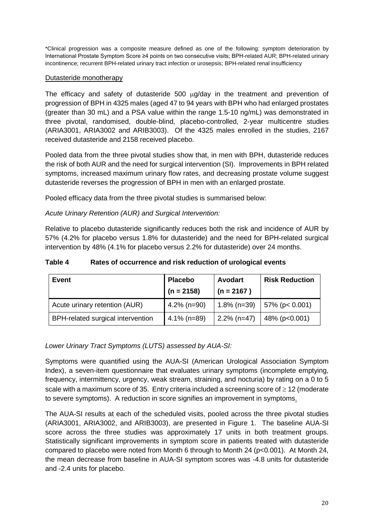\*Clinical progression was a composite measure defined as one of the following: symptom deterioration by International Prostate Symptom Score ≥4 points on two consecutive visits; BPH-related AUR; BPH-related urinary incontinence; recurrent BPH-related urinary tract infection or urosepsis; BPH-related renal insufficiency

### Dutasteride monotherapy

The efficacy and safety of dutasteride 500 ug/day in the treatment and prevention of progression of BPH in 4325 males (aged 47 to 94 years with BPH who had enlarged prostates (greater than 30 mL) and a PSA value within the range 1.5-10 ng/mL) was demonstrated in three pivotal, randomised, double-blind, placebo-controlled, 2-year multicentre studies (ARIA3001, ARIA3002 and ARIB3003). Of the 4325 males enrolled in the studies, 2167 received dutasteride and 2158 received placebo.

Pooled data from the three pivotal studies show that, in men with BPH, dutasteride reduces the risk of both AUR and the need for surgical intervention (SI). Improvements in BPH related symptoms, increased maximum urinary flow rates, and decreasing prostate volume suggest dutasteride reverses the progression of BPH in men with an enlarged prostate.

Pooled efficacy data from the three pivotal studies is summarised below:

### *Acute Urinary Retention (AUR) and Surgical Intervention:*

Relative to placebo dutasteride significantly reduces both the risk and incidence of AUR by 57% (4.2% for placebo versus 1.8% for dutasteride) and the need for BPH-related surgical intervention by 48% (4.1% for placebo versus 2.2% for dutasteride) over 24 months.

| Table 4 | Rates of occurrence and risk reduction of urological events |
|---------|-------------------------------------------------------------|
|---------|-------------------------------------------------------------|

| <b>Event</b>                             | <b>Placebo</b><br>$(n = 2158)$ | <b>Avodart</b><br>$(n = 2167)$ | <b>Risk Reduction</b> |
|------------------------------------------|--------------------------------|--------------------------------|-----------------------|
| Acute urinary retention (AUR)            | $4.2\%$ (n=90)                 | $1.8\%$ (n=39)                 | $57\%$ (p< 0.001)     |
| <b>BPH-related surgical intervention</b> | $4.1\%$ (n=89)                 | $2.2\%$ (n=47)                 | 48% (p<0.001)         |

### *Lower Urinary Tract Symptoms (LUTS) assessed by AUA-SI:*

Symptoms were quantified using the AUA-SI (American Urological Association Symptom Index), a seven-item questionnaire that evaluates urinary symptoms (incomplete emptying, frequency, intermittency, urgency, weak stream, straining, and nocturia) by rating on a 0 to 5 scale with a maximum score of 35. Entry criteria included a screening score of ≥ 12 (moderate to severe symptoms). A reduction in score signifies an improvement in symptoms.

The AUA-SI results at each of the scheduled visits, pooled across the three pivotal studies (ARIA3001, ARIA3002, and ARIB3003), are presented in Figure 1. The baseline AUA-SI score across the three studies was approximately 17 units in both treatment groups. Statistically significant improvements in symptom score in patients treated with dutasteride compared to placebo were noted from Month 6 through to Month 24 (p<0.001). At Month 24, the mean decrease from baseline in AUA-SI symptom scores was -4.8 units for dutasteride and -2.4 units for placebo.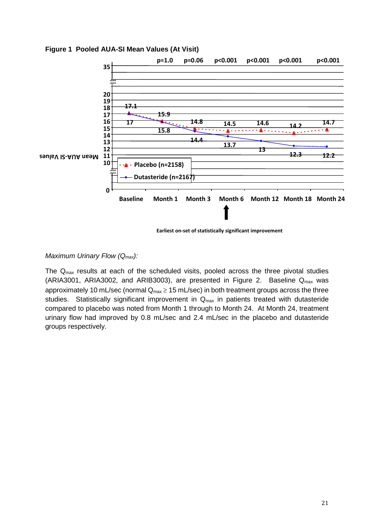

**Figure 1 Pooled AUA-SI Mean Values (At Visit)**

 **Earliest on-set of statistically significant improvement**

## *Maximum Urinary Flow (Qmax):*

The Qmax results at each of the scheduled visits, pooled across the three pivotal studies (ARIA3001, ARIA3002, and ARIB3003), are presented in Figure 2. Baseline  $Q_{max}$  was approximately 10 mL/sec (normal  $Q_{max} \ge 15$  mL/sec) in both treatment groups across the three studies. Statistically significant improvement in  $Q<sub>max</sub>$  in patients treated with dutasteride compared to placebo was noted from Month 1 through to Month 24. At Month 24, treatment urinary flow had improved by 0.8 mL/sec and 2.4 mL/sec in the placebo and dutasteride groups respectively.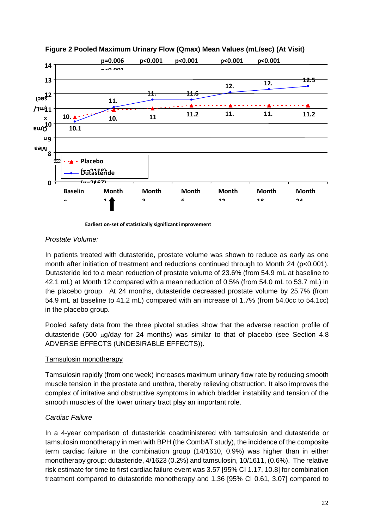

**Figure 2 Pooled Maximum Urinary Flow (Qmax) Mean Values (mL/sec) (At Visit)**

**Earliest on-set of statistically significant improvement**

### *Prostate Volume:*

In patients treated with dutasteride, prostate volume was shown to reduce as early as one month after initiation of treatment and reductions continued through to Month 24 (p<0.001). Dutasteride led to a mean reduction of prostate volume of 23.6% (from 54.9 mL at baseline to 42.1 mL) at Month 12 compared with a mean reduction of 0.5% (from 54.0 mL to 53.7 mL) in the placebo group. At 24 months, dutasteride decreased prostate volume by 25.7% (from 54.9 mL at baseline to 41.2 mL) compared with an increase of 1.7% (from 54.0cc to 54.1cc) in the placebo group.

Pooled safety data from the three pivotal studies show that the adverse reaction profile of dutasteride (500 µg/day for 24 months) was similar to that of placebo (see Section 4.8 ADVERSE EFFECTS (UNDESIRABLE EFFECTS)).

### Tamsulosin monotherapy

Tamsulosin rapidly (from one week) increases maximum urinary flow rate by reducing smooth muscle tension in the prostate and urethra, thereby relieving obstruction. It also improves the complex of irritative and obstructive symptoms in which bladder instability and tension of the smooth muscles of the lower urinary tract play an important role.

### *Cardiac Failure*

In a 4-year comparison of dutasteride coadministered with tamsulosin and dutasteride or tamsulosin monotherapy in men with BPH (the CombAT study), the incidence of the composite term cardiac failure in the combination group (14/1610, 0.9%) was higher than in either monotherapy group: dutasteride, 4/1623 (0.2%) and tamsulosin, 10/1611, (0.6%). The relative risk estimate for time to first cardiac failure event was 3.57 [95% CI 1.17, 10.8] for combination treatment compared to dutasteride monotherapy and 1.36 [95% CI 0.61, 3.07] compared to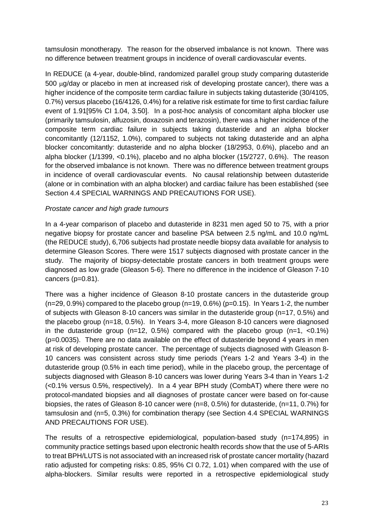tamsulosin monotherapy. The reason for the observed imbalance is not known. There was no difference between treatment groups in incidence of overall cardiovascular events.

In REDUCE (a 4-year, double-blind, randomized parallel group study comparing dutasteride 500 µg/day or placebo in men at increased risk of developing prostate cancer), there was a higher incidence of the composite term cardiac failure in subjects taking dutasteride (30/4105, 0.7%) versus placebo (16/4126, 0.4%) for a relative risk estimate for time to first cardiac failure event of 1.91[95% CI 1.04, 3.50]. In a post-hoc analysis of concomitant alpha blocker use (primarily tamsulosin, alfuzosin, doxazosin and terazosin), there was a higher incidence of the composite term cardiac failure in subjects taking dutasteride and an alpha blocker concomitantly (12/1152, 1.0%), compared to subjects not taking dutasteride and an alpha blocker concomitantly: dutasteride and no alpha blocker (18/2953, 0.6%), placebo and an alpha blocker (1/1399, <0.1%), placebo and no alpha blocker (15/2727, 0.6%). The reason for the observed imbalance is not known. There was no difference between treatment groups in incidence of overall cardiovascular events. No causal relationship between dutasteride (alone or in combination with an alpha blocker) and cardiac failure has been established (see Section 4.4 SPECIAL WARNINGS AND PRECAUTIONS FOR USE).

### *Prostate cancer and high grade tumours*

In a 4-year comparison of placebo and dutasteride in 8231 men aged 50 to 75, with a prior negative biopsy for prostate cancer and baseline PSA between 2.5 ng/mL and 10.0 ng/mL (the REDUCE study), 6,706 subjects had prostate needle biopsy data available for analysis to determine Gleason Scores. There were 1517 subjects diagnosed with prostate cancer in the study. The majority of biopsy-detectable prostate cancers in both treatment groups were diagnosed as low grade (Gleason 5-6). There no difference in the incidence of Gleason 7-10 cancers (p=0.81).

There was a higher incidence of Gleason 8-10 prostate cancers in the dutasteride group (n=29, 0.9%) compared to the placebo group (n=19, 0.6%) (p=0.15). In Years 1-2, the number of subjects with Gleason 8-10 cancers was similar in the dutasteride group (n=17, 0.5%) and the placebo group (n=18, 0.5%). In Years 3-4, more Gleason 8-10 cancers were diagnosed in the dutasteride group ( $n=12$ , 0.5%) compared with the placebo group ( $n=1$ , <0.1%) (p=0.0035). There are no data available on the effect of dutasteride beyond 4 years in men at risk of developing prostate cancer. The percentage of subjects diagnosed with Gleason 8- 10 cancers was consistent across study time periods (Years 1-2 and Years 3-4) in the dutasteride group (0.5% in each time period), while in the placebo group, the percentage of subjects diagnosed with Gleason 8-10 cancers was lower during Years 3-4 than in Years 1-2 (<0.1% versus 0.5%, respectively). In a 4 year BPH study (CombAT) where there were no protocol-mandated biopsies and all diagnoses of prostate cancer were based on for-cause biopsies, the rates of Gleason 8-10 cancer were (n=8, 0.5%) for dutasteride, (n=11, 0.7%) for tamsulosin and (n=5, 0.3%) for combination therapy (see Section 4.4 SPECIAL WARNINGS AND PRECAUTIONS FOR USE).

The results of a retrospective epidemiological, population-based study (n=174,895) in community practice settings based upon electronic health records show that the use of 5-ARIs to treat BPH/LUTS is not associated with an increased risk of prostate cancer mortality (hazard ratio adjusted for competing risks: 0.85, 95% CI 0.72, 1.01) when compared with the use of alpha-blockers. Similar results were reported in a retrospective epidemiological study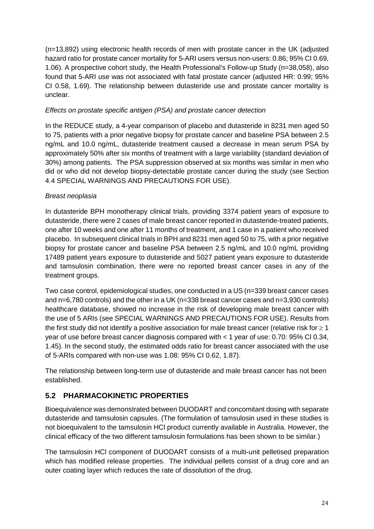(n=13,892) using electronic health records of men with prostate cancer in the UK (adjusted hazard ratio for prostate cancer mortality for 5-ARI users versus non-users: 0.86; 95% CI 0.69, 1.06). A prospective cohort study, the Health Professional's Follow-up Study (n=38,058), also found that 5-ARI use was not associated with fatal prostate cancer (adjusted HR: 0.99; 95% CI 0.58, 1.69). The relationship between dutasteride use and prostate cancer mortality is unclear.

### *Effects on prostate specific antigen (PSA) and prostate cancer detection*

In the REDUCE study, a 4-year comparison of placebo and dutasteride in 8231 men aged 50 to 75, patients with a prior negative biopsy for prostate cancer and baseline PSA between 2.5 ng/mL and 10.0 ng/mL, dutasteride treatment caused a decrease in mean serum PSA by approximately 50% after six months of treatment with a large variability (standard deviation of 30%) among patients. The PSA suppression observed at six months was similar in men who did or who did not develop biopsy-detectable prostate cancer during the study (see Section 4.4 SPECIAL WARNINGS AND PRECAUTIONS FOR USE).

### *Breast neoplasia*

In dutasteride BPH monotherapy clinical trials, providing 3374 patient years of exposure to dutasteride, there were 2 cases of male breast cancer reported in dutasteride-treated patients, one after 10 weeks and one after 11 months of treatment, and 1 case in a patient who received placebo. In subsequent clinical trials in BPH and 8231 men aged 50 to 75, with a prior negative biopsy for prostate cancer and baseline PSA between 2.5 ng/mL and 10.0 ng/mL providing 17489 patient years exposure to dutasteride and 5027 patient years exposure to dutasteride and tamsulosin combination, there were no reported breast cancer cases in any of the treatment groups.

Two case control, epidemiological studies, one conducted in a US (n=339 breast cancer cases and n=6,780 controls) and the other in a UK (n=338 breast cancer cases and n=3,930 controls) healthcare database, showed no increase in the risk of developing male breast cancer with the use of 5 ARIs (see SPECIAL WARNINGS AND PRECAUTIONS FOR USE). Results from the first study did not identify a positive association for male breast cancer (relative risk for  $\geq 1$ ) year of use before breast cancer diagnosis compared with < 1 year of use: 0.70: 95% CI 0.34, 1.45). In the second study, the estimated odds ratio for breast cancer associated with the use of 5-ARIs compared with non-use was 1.08: 95% CI 0.62, 1.87).

The relationship between long-term use of dutasteride and male breast cancer has not been established.

# **5.2 PHARMACOKINETIC PROPERTIES**

Bioequivalence was demonstrated between DUODART and concomitant dosing with separate dutasteride and tamsulosin capsules. (The formulation of tamsulosin used in these studies is not bioequivalent to the tamsulosin HCl product currently available in Australia. However, the clinical efficacy of the two different tamsulosin formulations has been shown to be similar.)

The tamsulosin HCl component of DUODART consists of a multi-unit pelletised preparation which has modified release properties. The individual pellets consist of a drug core and an outer coating layer which reduces the rate of dissolution of the drug.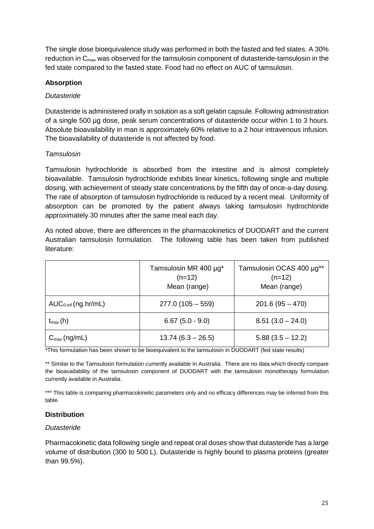The single dose bioequivalence study was performed in both the fasted and fed states. A 30% reduction in C<sub>max</sub> was observed for the tamsulosin component of dutasteride-tamsulosin in the fed state compared to the fasted state. Food had no effect on AUC of tamsulosin.

## **Absorption**

### *Dutasteride*

Dutasteride is administered orally in solution as a soft gelatin capsule. Following administration of a single 500 µg dose, peak serum concentrations of dutasteride occur within 1 to 3 hours. Absolute bioavailability in man is approximately 60% relative to a 2 hour intravenous infusion. The bioavailability of dutasteride is not affected by food.

### *Tamsulosin*

Tamsulosin hydrochloride is absorbed from the intestine and is almost completely bioavailable. Tamsulosin hydrochloride exhibits linear kinetics, following single and multiple dosing, with achievement of steady state concentrations by the fifth day of once-a-day dosing. The rate of absorption of tamsulosin hydrochloride is reduced by a recent meal. Uniformity of absorption can be promoted by the patient always taking tamsulosin hydrochloride approximately 30 minutes after the same meal each day.

As noted above, there are differences in the pharmacokinetics of DUODART and the current Australian tamsulosin formulation. The following table has been taken from published literature:

|                          | Tamsulosin MR 400 µg*<br>$(n=12)$<br>Mean (range) | Tamsulosin OCAS 400 µg**<br>$(n=12)$<br>Mean (range) |
|--------------------------|---------------------------------------------------|------------------------------------------------------|
| $AUC0-int$ (ng.hr/mL)    | $277.0(105 - 559)$                                | $201.6(95 - 470)$                                    |
| $t_{\text{max}}(h)$      | $6.67(5.0 - 9.0)$                                 | $8.51(3.0 - 24.0)$                                   |
| $C_{\text{max}}$ (ng/mL) | $13.74(6.3 - 26.5)$                               | $5.88(3.5 - 12.2)$                                   |

\*This formulation has been shown to be bioequivalent to the tamsulosin in DUODART (fed state results)

\*\* Similar to the Tamsulosin formulation currently available in Australia. There are no data which directly compare the bioavailability of the tamsulosin component of DUODART with the tamsulosin monotherapy formulation currently available in Australia.

\*\*\* This table is comparing pharmacokinetic parameters only and no efficacy differences may be inferred from this table.

### **Distribution**

### *Dutasteride*

Pharmacokinetic data following single and repeat oral doses show that dutasteride has a large volume of distribution (300 to 500 L). Dutasteride is highly bound to plasma proteins (greater than 99.5%).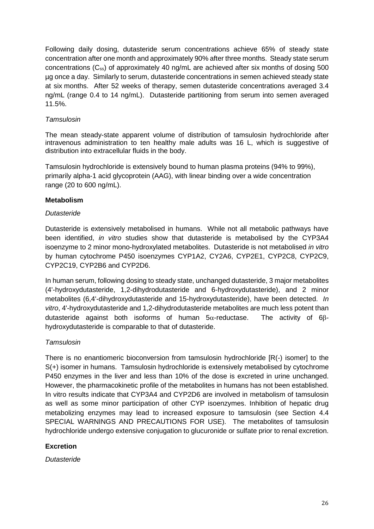Following daily dosing, dutasteride serum concentrations achieve 65% of steady state concentration after one month and approximately 90% after three months. Steady state serum concentrations (Css) of approximately 40 ng/mL are achieved after six months of dosing 500 µg once a day. Similarly to serum, dutasteride concentrations in semen achieved steady state at six months. After 52 weeks of therapy, semen dutasteride concentrations averaged 3.4 ng/mL (range 0.4 to 14 ng/mL). Dutasteride partitioning from serum into semen averaged 11.5%.

### *Tamsulosin*

The mean steady-state apparent volume of distribution of tamsulosin hydrochloride after intravenous administration to ten healthy male adults was 16 L, which is suggestive of distribution into extracellular fluids in the body.

Tamsulosin hydrochloride is extensively bound to human plasma proteins (94% to 99%), primarily alpha-1 acid glycoprotein (AAG), with linear binding over a wide concentration range (20 to 600 ng/mL).

### **Metabolism**

### *Dutasteride*

Dutasteride is extensively metabolised in humans. While not all metabolic pathways have been identified, *in vitro* studies show that dutasteride is metabolised by the CYP3A4 isoenzyme to 2 minor mono-hydroxylated metabolites. Dutasteride is not metabolised *in vitro* by human cytochrome P450 isoenzymes CYP1A2, CY2A6, CYP2E1, CYP2C8, CYP2C9, CYP2C19, CYP2B6 and CYP2D6.

In human serum, following dosing to steady state, unchanged dutasteride, 3 major metabolites (4'-hydroxydutasteride, 1,2-dihydrodutasteride and 6-hydroxydutasteride), and 2 minor metabolites (6,4'-dihydroxydutasteride and 15-hydroxydutasteride), have been detected. *In vitro*, 4'-hydroxydutasteride and 1,2-dihydrodutasteride metabolites are much less potent than dutasteride against both isoforms of human 5α-reductase. The activity of 6βhydroxydutasteride is comparable to that of dutasteride.

### *Tamsulosin*

There is no enantiomeric bioconversion from tamsulosin hydrochloride [R(-) isomer] to the S(+) isomer in humans. Tamsulosin hydrochloride is extensively metabolised by cytochrome P450 enzymes in the liver and less than 10% of the dose is excreted in urine unchanged. However, the pharmacokinetic profile of the metabolites in humans has not been established. In vitro results indicate that CYP3A4 and CYP2D6 are involved in metabolism of tamsulosin as well as some minor participation of other CYP isoenzymes. Inhibition of hepatic drug metabolizing enzymes may lead to increased exposure to tamsulosin (see Section 4.4 SPECIAL WARNINGS AND PRECAUTIONS FOR USE). The metabolites of tamsulosin hydrochloride undergo extensive conjugation to glucuronide or sulfate prior to renal excretion.

### **Excretion**

*Dutasteride*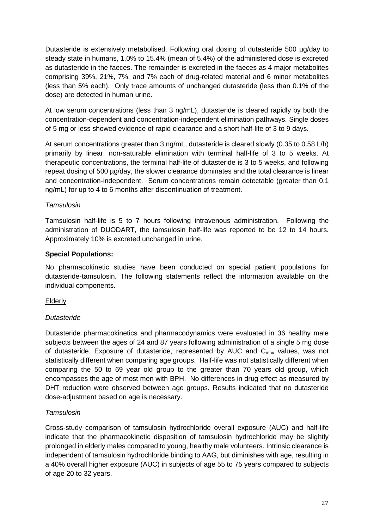Dutasteride is extensively metabolised. Following oral dosing of dutasteride 500 µg/day to steady state in humans, 1.0% to 15.4% (mean of 5.4%) of the administered dose is excreted as dutasteride in the faeces. The remainder is excreted in the faeces as 4 major metabolites comprising 39%, 21%, 7%, and 7% each of drug-related material and 6 minor metabolites (less than 5% each). Only trace amounts of unchanged dutasteride (less than 0.1% of the dose) are detected in human urine.

At low serum concentrations (less than 3 ng/mL), dutasteride is cleared rapidly by both the concentration-dependent and concentration-independent elimination pathways. Single doses of 5 mg or less showed evidence of rapid clearance and a short half-life of 3 to 9 days.

At serum concentrations greater than 3 ng/mL, dutasteride is cleared slowly (0.35 to 0.58 L/h) primarily by linear, non-saturable elimination with terminal half-life of 3 to 5 weeks. At therapeutic concentrations, the terminal half-life of dutasteride is 3 to 5 weeks, and following repeat dosing of 500 µg/day, the slower clearance dominates and the total clearance is linear and concentration-independent. Serum concentrations remain detectable (greater than 0.1 ng/mL) for up to 4 to 6 months after discontinuation of treatment.

### *Tamsulosin*

Tamsulosin half-life is 5 to 7 hours following intravenous administration. Following the administration of DUODART, the tamsulosin half-life was reported to be 12 to 14 hours. Approximately 10% is excreted unchanged in urine.

### **Special Populations:**

No pharmacokinetic studies have been conducted on special patient populations for dutasteride-tamsulosin. The following statements reflect the information available on the individual components.

### Elderly

### *Dutasteride*

Dutasteride pharmacokinetics and pharmacodynamics were evaluated in 36 healthy male subjects between the ages of 24 and 87 years following administration of a single 5 mg dose of dutasteride. Exposure of dutasteride, represented by AUC and  $C<sub>max</sub>$  values, was not statistically different when comparing age groups. Half-life was not statistically different when comparing the 50 to 69 year old group to the greater than 70 years old group, which encompasses the age of most men with BPH. No differences in drug effect as measured by DHT reduction were observed between age groups. Results indicated that no dutasteride dose-adjustment based on age is necessary.

### *Tamsulosin*

Cross-study comparison of tamsulosin hydrochloride overall exposure (AUC) and half-life indicate that the pharmacokinetic disposition of tamsulosin hydrochloride may be slightly prolonged in elderly males compared to young, healthy male volunteers. Intrinsic clearance is independent of tamsulosin hydrochloride binding to AAG, but diminishes with age, resulting in a 40% overall higher exposure (AUC) in subjects of age 55 to 75 years compared to subjects of age 20 to 32 years.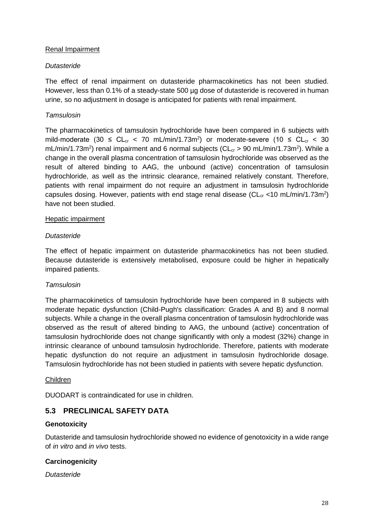### Renal Impairment

### *Dutasteride*

The effect of renal impairment on dutasteride pharmacokinetics has not been studied. However, less than 0.1% of a steady-state 500 µg dose of dutasteride is recovered in human urine, so no adjustment in dosage is anticipated for patients with renal impairment.

### *Tamsulosin*

The pharmacokinetics of tamsulosin hydrochloride have been compared in 6 subjects with mild-moderate (30  $\leq$  CL<sub>cr</sub> < 70 mL/min/1.73m<sup>2</sup>) or moderate-severe (10  $\leq$  CL<sub>cr</sub> < 30 mL/min/1.73m<sup>2</sup>) renal impairment and 6 normal subjects (CL<sub>cr</sub> > 90 mL/min/1.73m<sup>2</sup>). While a change in the overall plasma concentration of tamsulosin hydrochloride was observed as the result of altered binding to AAG, the unbound (active) concentration of tamsulosin hydrochloride, as well as the intrinsic clearance, remained relatively constant. Therefore, patients with renal impairment do not require an adjustment in tamsulosin hydrochloride capsules dosing. However, patients with end stage renal disease ( $CL_{cr}$  <10 mL/min/1.73m<sup>2</sup>) have not been studied.

### Hepatic impairment

### *Dutasteride*

The effect of hepatic impairment on dutasteride pharmacokinetics has not been studied. Because dutasteride is extensively metabolised, exposure could be higher in hepatically impaired patients.

### *Tamsulosin*

The pharmacokinetics of tamsulosin hydrochloride have been compared in 8 subjects with moderate hepatic dysfunction (Child-Pugh's classification: Grades A and B) and 8 normal subjects. While a change in the overall plasma concentration of tamsulosin hydrochloride was observed as the result of altered binding to AAG, the unbound (active) concentration of tamsulosin hydrochloride does not change significantly with only a modest (32%) change in intrinsic clearance of unbound tamsulosin hydrochloride. Therefore, patients with moderate hepatic dysfunction do not require an adjustment in tamsulosin hydrochloride dosage. Tamsulosin hydrochloride has not been studied in patients with severe hepatic dysfunction.

### Children

DUODART is contraindicated for use in children.

# **5.3 PRECLINICAL SAFETY DATA**

### **Genotoxicity**

Dutasteride and tamsulosin hydrochloride showed no evidence of genotoxicity in a wide range of *in vitro* and *in vivo* tests.

### **Carcinogenicity**

*Dutasteride*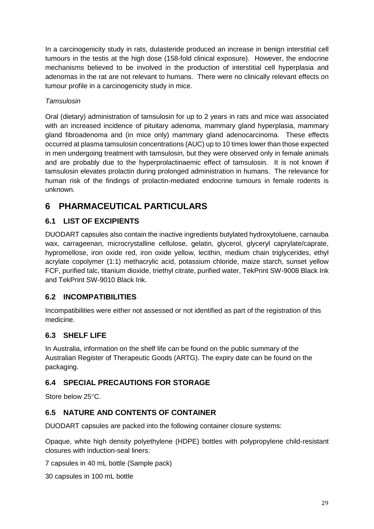In a carcinogenicity study in rats, dutasteride produced an increase in benign interstitial cell tumours in the testis at the high dose (158-fold clinical exposure). However, the endocrine mechanisms believed to be involved in the production of interstitial cell hyperplasia and adenomas in the rat are not relevant to humans. There were no clinically relevant effects on tumour profile in a carcinogenicity study in mice.

## *Tamsulosin*

Oral (dietary) administration of tamsulosin for up to 2 years in rats and mice was associated with an increased incidence of pituitary adenoma, mammary gland hyperplasia, mammary gland fibroadenoma and (in mice only) mammary gland adenocarcinoma. These effects occurred at plasma tamsulosin concentrations (AUC) up to 10 times lower than those expected in men undergoing treatment with tamsulosin, but they were observed only in female animals and are probably due to the hyperprolactinaemic effect of tamsulosin. It is not known if tamsulosin elevates prolactin during prolonged administration in humans. The relevance for human risk of the findings of prolactin-mediated endocrine tumours in female rodents is unknown.

# **6 PHARMACEUTICAL PARTICULARS**

# **6.1 LIST OF EXCIPIENTS**

DUODART capsules also contain the inactive ingredients butylated hydroxytoluene, carnauba wax, carrageenan, microcrystalline cellulose, gelatin, glycerol, glyceryl caprylate/caprate, hypromellose, iron oxide red, iron oxide yellow, lecithin, medium chain triglycerides, ethyl acrylate copolymer (1:1) methacrylic acid, potassium chloride, maize starch, sunset yellow FCF, purified talc, titanium dioxide, triethyl citrate, purified water, TekPrint SW-9008 Black Ink and TekPrint SW-9010 Black Ink.

# **6.2 INCOMPATIBILITIES**

Incompatibilities were either not assessed or not identified as part of the registration of this medicine.

# **6.3 SHELF LIFE**

In Australia, information on the shelf life can be found on the public summary of the Australian Register of Therapeutic Goods (ARTG). The expiry date can be found on the packaging.

# **6.4 SPECIAL PRECAUTIONS FOR STORAGE**

Store below 25°C.

# **6.5 NATURE AND CONTENTS OF CONTAINER**

DUODART capsules are packed into the following container closure systems:

Opaque, white high density polyethylene (HDPE) bottles with polypropylene child-resistant closures with induction-seal liners:

7 capsules in 40 mL bottle (Sample pack)

30 capsules in 100 mL bottle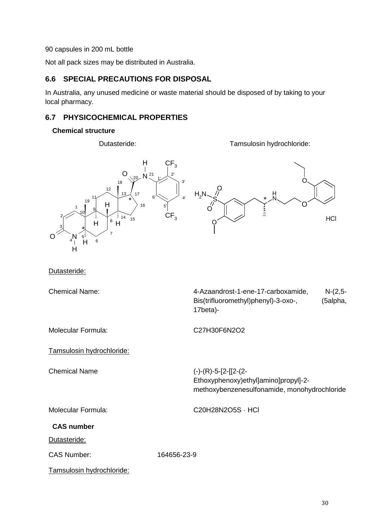90 capsules in 200 mL bottle

Not all pack sizes may be distributed in Australia.

### **6.6 SPECIAL PRECAUTIONS FOR DISPOSAL**

In Australia, any unused medicine or waste material should be disposed of by taking to your local pharmacy.

## **6.7 PHYSICOCHEMICAL PROPERTIES**

#### **Chemical structure**

Dutasteride: Tamsulosin hydrochloride:



Dutasteride:

Chemical Name:

| 4-Azaandrost-1-ene-17-carboxamide,  | $N-(2,5-$ |
|-------------------------------------|-----------|
| Bis(trifluoromethyl)phenyl)-3-oxo-, | (5alpha,  |
| 17beta)-                            |           |

Molecular Formula: C27H30F6N2O2

Tamsulosin hydrochloride:

Chemical Name (-)-(R)-5-[2-[[2-(2- Ethoxyphenoxy)ethyl]amino]propyl]-2 methoxybenzenesulfonamide, monohydrochloride

Molecular Formula: C20H28N2O5S · HCl

**CAS number**

Dutasteride:

CAS Number: 164656-23-9

Tamsulosin hydrochloride: